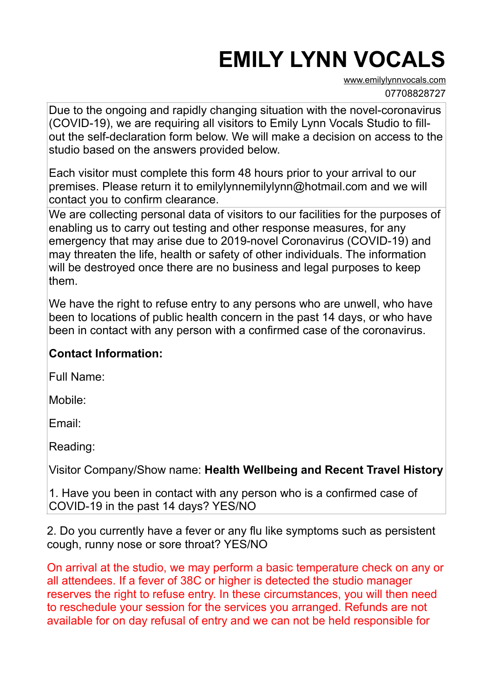# **EMILY LYNN VOCALS**

[www.emilylynnvocals.com](http://www.emilylynnvocals.com) 07708828727

Due to the ongoing and rapidly changing situation with the novel-coronavirus (COVID-19), we are requiring all visitors to Emily Lynn Vocals Studio to fillout the self-declaration form below. We will make a decision on access to the studio based on the answers provided below.

Each visitor must complete this form 48 hours prior to your arrival to our premises. Please return it to emilylynnemilylynn@hotmail.com and we will contact you to confirm clearance.

We are collecting personal data of visitors to our facilities for the purposes of enabling us to carry out testing and other response measures, for any emergency that may arise due to 2019-novel Coronavirus (COVID-19) and may threaten the life, health or safety of other individuals. The information will be destroyed once there are no business and legal purposes to keep them.

We have the right to refuse entry to any persons who are unwell, who have been to locations of public health concern in the past 14 days, or who have been in contact with any person with a confirmed case of the coronavirus.

## **Contact Information:**

Full Name:

Mobile:

Email:

Reading:

Visitor Company/Show name: **Health Wellbeing and Recent Travel History** 

1. Have you been in contact with any person who is a confirmed case of COVID-19 in the past 14 days? YES/NO

2. Do you currently have a fever or any flu like symptoms such as persistent cough, runny nose or sore throat? YES/NO

On arrival at the studio, we may perform a basic temperature check on any or all attendees. If a fever of 38C or higher is detected the studio manager reserves the right to refuse entry. In these circumstances, you will then need to reschedule your session for the services you arranged. Refunds are not available for on day refusal of entry and we can not be held responsible for